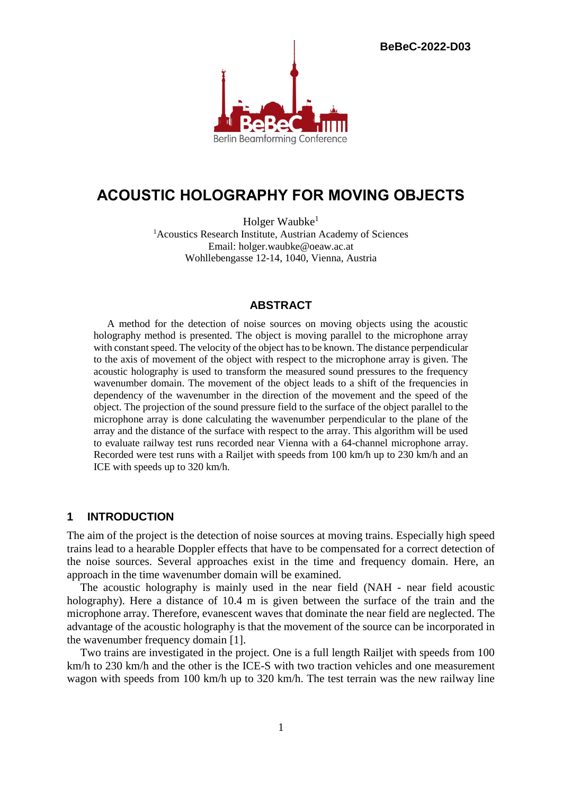**BeBeC-2022-D03**



# **ACOUSTIC HOLOGRAPHY FOR MOVING OBJECTS**

Holger Waubke<sup>1</sup> <sup>1</sup>Acoustics Research Institute, Austrian Academy of Sciences Email: holger.waubke@oeaw.ac.at Wohllebengasse 12-14, 1040, Vienna, Austria

# **ABSTRACT**

A method for the detection of noise sources on moving objects using the acoustic holography method is presented. The object is moving parallel to the microphone array with constant speed. The velocity of the object has to be known. The distance perpendicular to the axis of movement of the object with respect to the microphone array is given. The acoustic holography is used to transform the measured sound pressures to the frequency wavenumber domain. The movement of the object leads to a shift of the frequencies in dependency of the wavenumber in the direction of the movement and the speed of the object. The projection of the sound pressure field to the surface of the object parallel to the microphone array is done calculating the wavenumber perpendicular to the plane of the array and the distance of the surface with respect to the array. This algorithm will be used to evaluate railway test runs recorded near Vienna with a 64-channel microphone array. Recorded were test runs with a Railjet with speeds from 100 km/h up to 230 km/h and an ICE with speeds up to 320 km/h.

#### **1 INTRODUCTION**

The aim of the project is the detection of noise sources at moving trains. Especially high speed trains lead to a hearable Doppler effects that have to be compensated for a correct detection of the noise sources. Several approaches exist in the time and frequency domain. Here, an approach in the time wavenumber domain will be examined.

The acoustic holography is mainly used in the near field (NAH - near field acoustic holography). Here a distance of 10.4 m is given between the surface of the train and the microphone array. Therefore, evanescent waves that dominate the near field are neglected. The advantage of the acoustic holography is that the movement of the source can be incorporated in the wavenumber frequency domain [1].

Two trains are investigated in the project. One is a full length Railjet with speeds from 100 km/h to 230 km/h and the other is the ICE-S with two traction vehicles and one measurement wagon with speeds from 100 km/h up to 320 km/h. The test terrain was the new railway line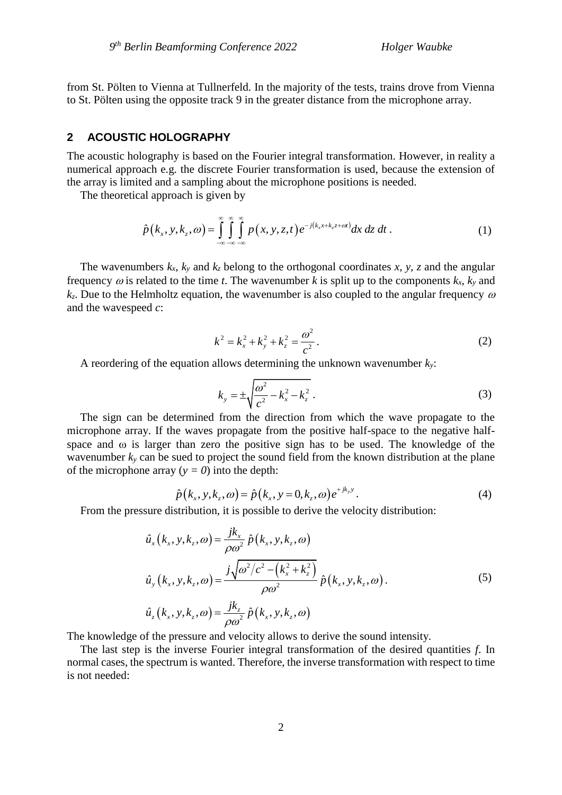from St. Pölten to Vienna at Tullnerfeld. In the majority of the tests, trains drove from Vienna to St. Pölten using the opposite track 9 in the greater distance from the microphone array.

## **2 ACOUSTIC HOLOGRAPHY**

The acoustic holography is based on the Fourier integral transformation. However, in reality a numerical approach e.g. the discrete Fourier transformation is used, because the extension of the array is limited and a sampling about the microphone positions is needed.

The theoretical approach is given by

$$
\hat{p}(k_x, y, k_z, \omega) = \int_{-\infty}^{\infty} \int_{-\infty}^{\infty} \int_{-\infty}^{\infty} p(x, y, z, t) e^{-j(k_x x + k_z z + \omega t)} dx dz dt.
$$
\n(1)

The wavenumbers  $k_x$ ,  $k_y$  and  $k_z$  belong to the orthogonal coordinates x, y, z and the angular frequency  $\omega$  is related to the time *t*. The wavenumber *k* is split up to the components  $k_x$ ,  $k_y$  and  $k_z$ . Due to the Helmholtz equation, the wavenumber is also coupled to the angular frequency  $\omega$ and the wavespeed *c*:

$$
k^{2} = k_{x}^{2} + k_{y}^{2} + k_{z}^{2} = \frac{\omega^{2}}{c^{2}}.
$$
 (2)

A reordering of the equation allows determining the unknown wavenumber *ky*:

$$
k_{y} = \pm \sqrt{\frac{\omega^{2}}{c^{2}} - k_{x}^{2} - k_{z}^{2}}.
$$
 (3)

The sign can be determined from the direction from which the wave propagate to the microphone array. If the waves propagate from the positive half-space to the negative halfspace and  $\omega$  is larger than zero the positive sign has to be used. The knowledge of the wavenumber *k<sup>y</sup>* can be sued to project the sound field from the known distribution at the plane of the microphone array ( $y = 0$ ) into the depth:

$$
\hat{p}(k_x, y, k_z, \omega) = \hat{p}(k_x, y = 0, k_z, \omega) e^{+jk_y y}.
$$
\n(4)

From the pressure distribution, it is possible to derive the velocity distribution:  
\n
$$
\hat{u}_x(k_x, y, k_z, \omega) = \frac{j k_x}{\rho \omega^2} \hat{p}(k_x, y, k_z, \omega)
$$
\n
$$
\hat{u}_y(k_x, y, k_z, \omega) = \frac{j \sqrt{\omega^2/c^2 - (k_x^2 + k_z^2)}}{\rho \omega^2} \hat{p}(k_x, y, k_z, \omega).
$$
\n(5)  
\n
$$
\hat{u}_z(k_x, y, k_z, \omega) = \frac{j k_z}{\rho \omega^2} \hat{p}(k_x, y, k_z, \omega)
$$

The knowledge of the pressure and velocity allows to derive the sound intensity.

The last step is the inverse Fourier integral transformation of the desired quantities *f*. In normal cases, the spectrum is wanted. Therefore, the inverse transformation with respect to time is not needed: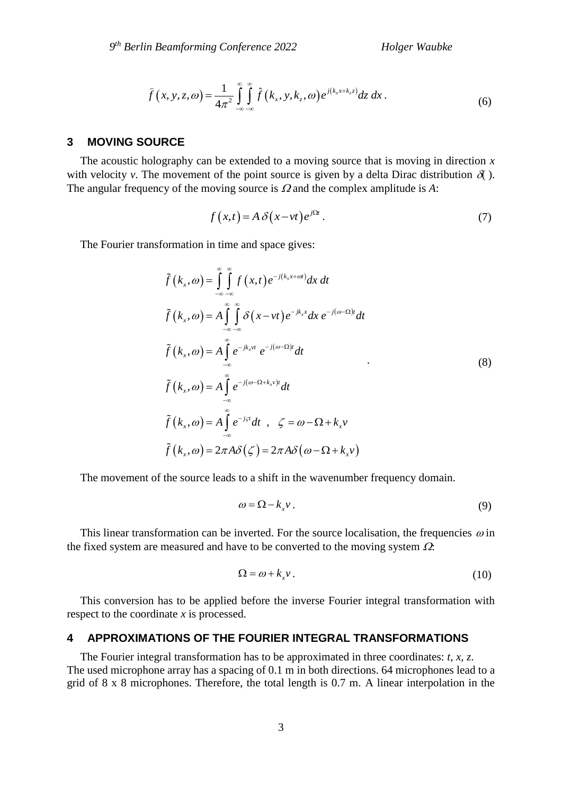$$
\widehat{f}(x, y, z, \omega) = \frac{1}{4\pi^2} \int_{-\infty}^{\infty} \int_{-\infty}^{\infty} \widehat{f}(k_x, y, k_z, \omega) e^{j(k_x x + k_z z)} dz dx.
$$
\n(6)

### **3 MOVING SOURCE**

The acoustic holography can be extended to a moving source that is moving in direction *x* with velocity *v*. The movement of the point source is given by a delta Dirac distribution  $\delta$ . The angular frequency of the moving source is  $\Omega$  and the complex amplitude is  $A$ :

$$
f(x,t) = A \delta(x-vt) e^{i\Omega t}.
$$
 (7)

The Fourier transformation in time and space gives:

$$
\tilde{f}(k_x, \omega) = \int_{-\infty}^{\infty} \int_{-\infty}^{\infty} f(x,t) e^{-j(k_x x + \omega t)} dx dt
$$
\n
$$
\tilde{f}(k_x, \omega) = A \int_{-\infty}^{\infty} \int_{-\infty}^{\infty} \delta(x - vt) e^{-jk_x x} dx e^{-j(\omega - \Omega)t} dt
$$
\n
$$
\tilde{f}(k_x, \omega) = A \int_{-\infty}^{\infty} e^{-jk_x vt} e^{-j(\omega - \Omega)t} dt
$$
\n
$$
\tilde{f}(k_x, \omega) = A \int_{-\infty}^{\infty} e^{-j(\omega - \Omega + k_x v)t} dt
$$
\n
$$
\tilde{f}(k_x, \omega) = A \int_{-\infty}^{\infty} e^{-j\tau t} dt, \quad \zeta = \omega - \Omega + k_x v
$$
\n
$$
\tilde{f}(k_x, \omega) = 2\pi A \delta(\zeta) = 2\pi A \delta(\omega - \Omega + k_x v)
$$
\n(8)

The movement of the source leads to a shift in the wavenumber frequency domain.

$$
\omega = \Omega - k_x v \,. \tag{9}
$$

This linear transformation can be inverted. For the source localisation, the frequencies  $\omega$  in the fixed system are measured and have to be converted to the moving system  $\Omega$ :

$$
\Omega = \omega + k_x v \,. \tag{10}
$$

This conversion has to be applied before the inverse Fourier integral transformation with respect to the coordinate *x* is processed.

# **4 APPROXIMATIONS OF THE FOURIER INTEGRAL TRANSFORMATIONS**

The Fourier integral transformation has to be approximated in three coordinates: *t, x, z*. The used microphone array has a spacing of 0.1 m in both directions. 64 microphones lead to a grid of 8 x 8 microphones. Therefore, the total length is 0.7 m. A linear interpolation in the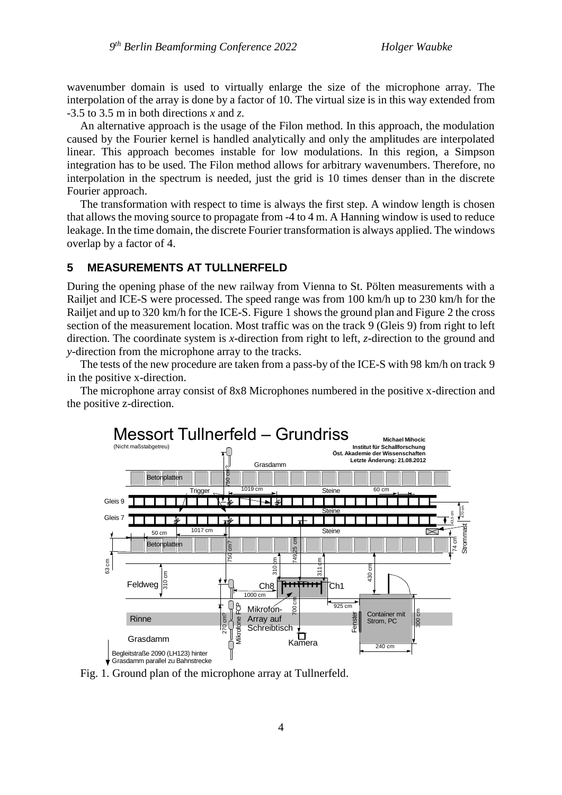wavenumber domain is used to virtually enlarge the size of the microphone array. The interpolation of the array is done by a factor of 10. The virtual size is in this way extended from -3.5 to 3.5 m in both directions *x* and *z*.

An alternative approach is the usage of the Filon method. In this approach, the modulation caused by the Fourier kernel is handled analytically and only the amplitudes are interpolated linear. This approach becomes instable for low modulations. In this region, a Simpson integration has to be used. The Filon method allows for arbitrary wavenumbers. Therefore, no interpolation in the spectrum is needed, just the grid is 10 times denser than in the discrete Fourier approach.

The transformation with respect to time is always the first step. A window length is chosen that allows the moving source to propagate from -4 to 4 m. A Hanning window is used to reduce leakage. In the time domain, the discrete Fourier transformation is always applied. The windows overlap by a factor of 4.

## **5 MEASUREMENTS AT TULLNERFELD**

During the opening phase of the new railway from Vienna to St. Pölten measurements with a Railjet and ICE-S were processed. The speed range was from 100 km/h up to 230 km/h for the Railjet and up to 320 km/h for the ICE-S. Figure 1 shows the ground plan and Figure 2 the cross section of the measurement location. Most traffic was on the track 9 (Gleis 9) from right to left direction. The coordinate system is *x*-direction from right to left, *z*-direction to the ground and *y*-direction from the microphone array to the tracks.

The tests of the new procedure are taken from a pass-by of the ICE-S with 98 km/h on track 9 in the positive x-direction.

The microphone array consist of 8x8 Microphones numbered in the positive x-direction and the positive z-direction.



Fig. 1. Ground plan of the microphone array at Tullnerfeld.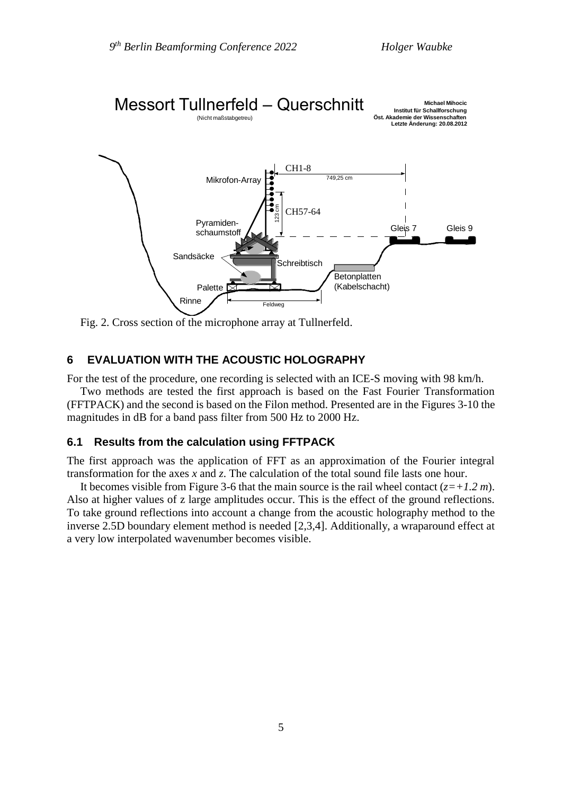

Fig. 2. Cross section of the microphone array at Tullnerfeld.

## **6 EVALUATION WITH THE ACOUSTIC HOLOGRAPHY**

For the test of the procedure, one recording is selected with an ICE-S moving with 98 km/h.

Two methods are tested the first approach is based on the Fast Fourier Transformation (FFTPACK) and the second is based on the Filon method. Presented are in the Figures 3-10 the magnitudes in dB for a band pass filter from 500 Hz to 2000 Hz.

#### **6.1 Results from the calculation using FFTPACK**

The first approach was the application of FFT as an approximation of the Fourier integral transformation for the axes *x* and *z*. The calculation of the total sound file lasts one hour.

It becomes visible from Figure 3-6 that the main source is the rail wheel contact (*z=+1.2 m*). Also at higher values of z large amplitudes occur. This is the effect of the ground reflections. To take ground reflections into account a change from the acoustic holography method to the inverse 2.5D boundary element method is needed [2,3,4]. Additionally, a wraparound effect at a very low interpolated wavenumber becomes visible.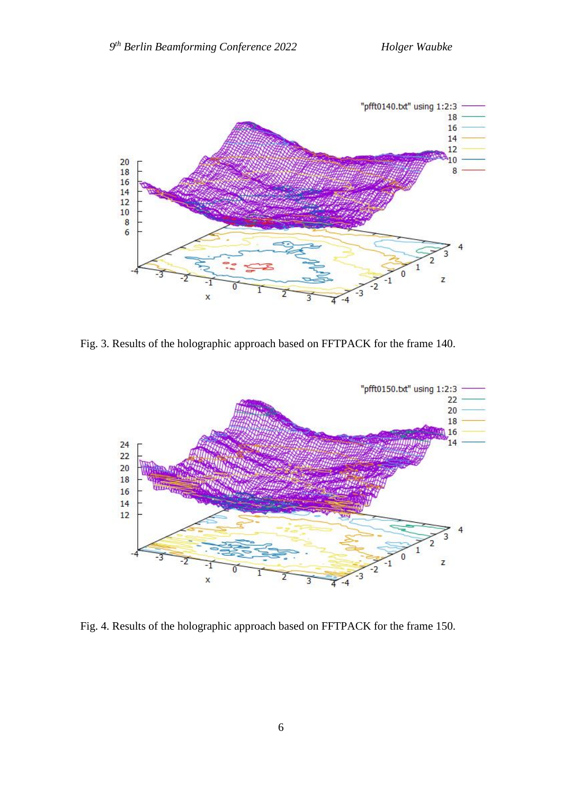

Fig. 3. Results of the holographic approach based on FFTPACK for the frame 140.



Fig. 4. Results of the holographic approach based on FFTPACK for the frame 150.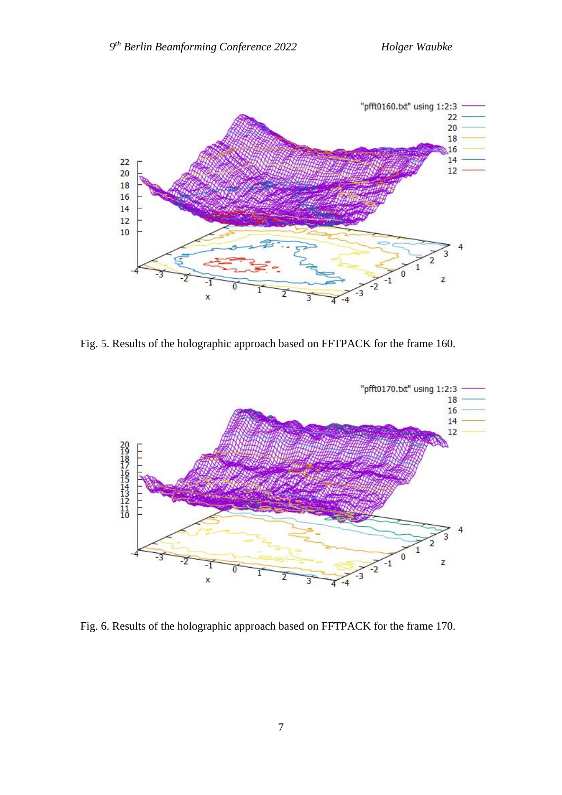

Fig. 5. Results of the holographic approach based on FFTPACK for the frame 160.



Fig. 6. Results of the holographic approach based on FFTPACK for the frame 170.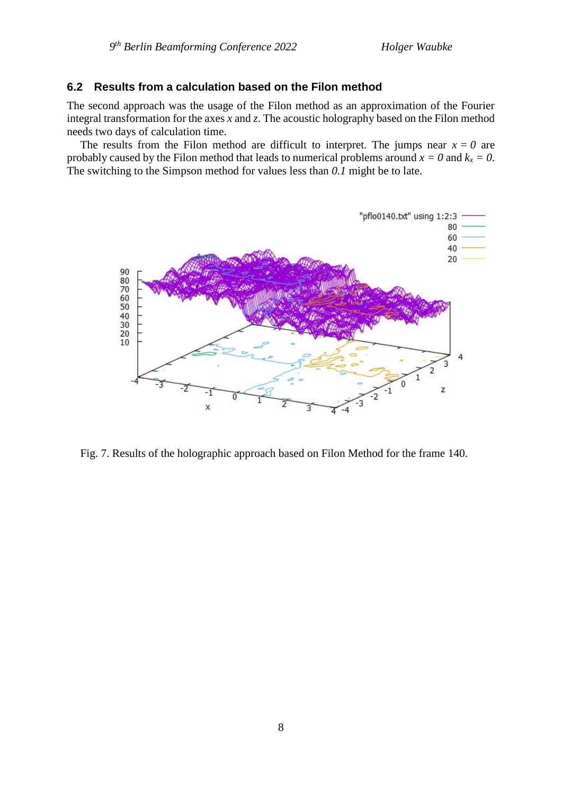#### **6.2 Results from a calculation based on the Filon method**

The second approach was the usage of the Filon method as an approximation of the Fourier integral transformation for the axes *x* and *z*. The acoustic holography based on the Filon method needs two days of calculation time.

The results from the Filon method are difficult to interpret. The jumps near  $x = 0$  are probably caused by the Filon method that leads to numerical problems around  $x = 0$  and  $k_x = 0$ . The switching to the Simpson method for values less than *0.1* might be to late.



Fig. 7. Results of the holographic approach based on Filon Method for the frame 140.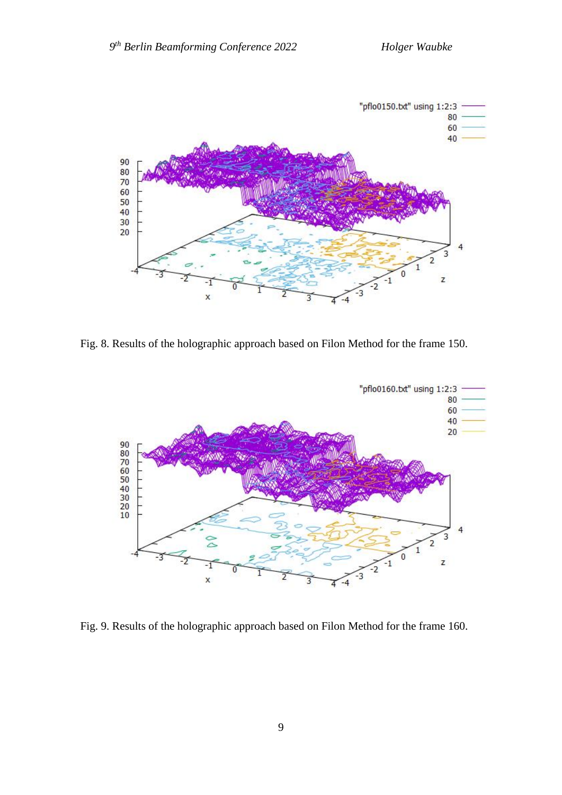

Fig. 8. Results of the holographic approach based on Filon Method for the frame 150.



Fig. 9. Results of the holographic approach based on Filon Method for the frame 160.